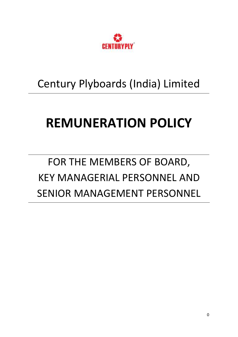

### Century Plyboards (India) Limited

# **REMUNERATION POLICY**

## FOR THE MEMBERS OF BOARD, KEY MANAGERIAL PERSONNEL AND SENIOR MANAGEMENT PERSONNEL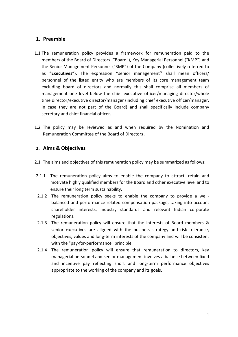#### **1. Preamble**

- 1.1 The remuneration policy provides a framework for remuneration paid to the members of the Board of Directors ("Board"), Key Managerial Personnel ("KMP") and the Senior Management Personnel ("SMP") of the Company (collectively referred to as "**Executives**"). The expression ''senior management'' shall mean officers/ personnel of the listed entity who are members of its core management team excluding board of directors and normally this shall comprise all members of management one level below the chief executive officer/managing director/whole time director/executive director/manager (including chief executive officer/manager, in case they are not part of the Board) and shall specifically include company secretary and chief financial officer.
- 1.2 The policy may be reviewed as and when required by the Nomination and Remuneration Committee of the Board of Directors .

#### **2. Aims & Objectives**

- 2.1 The aims and objectives of this remuneration policy may be summarized as follows:
- 2.1.1 The remuneration policy aims to enable the company to attract, retain and motivate highly qualified members for the Board and other executive level and to ensure their long term sustainability.
- 2.1.2 The remuneration policy seeks to enable the company to provide a wellbalanced and performance-related compensation package, taking into account shareholder interests, industry standards and relevant Indian corporate regulations.
- 2.1.3 The remuneration policy will ensure that the interests of Board members & senior executives are aligned with the business strategy and risk tolerance, objectives, values and long-term interests of the company and will be consistent with the "pay-for-performance" principle.
- 2.1.4 The remuneration policy will ensure that remuneration to directors, key managerial personnel and senior management involves a balance between fixed and incentive pay reflecting short and long-term performance objectives appropriate to the working of the company and its goals.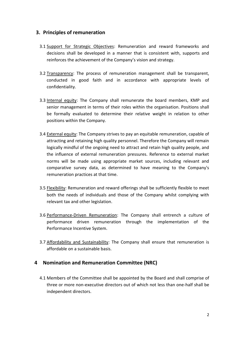#### **3. Principles of remuneration**

- 3.1 Support for Strategic Objectives: Remuneration and reward frameworks and decisions shall be developed in a manner that is consistent with, supports and reinforces the achievement of the Company's vision and strategy.
- 3.2 Transparency: The process of remuneration management shall be transparent, conducted in good faith and in accordance with appropriate levels of confidentiality.
- 3.3 Internal equity: The Company shall remunerate the board members, KMP and senior management in terms of their roles within the organisation. Positions shall be formally evaluated to determine their relative weight in relation to other positions within the Company.
- 3.4 External equity: The Company strives to pay an equitable remuneration, capable of attracting and retaining high quality personnel. Therefore the Company will remain logically mindful of the ongoing need to attract and retain high quality people, and the influence of external remuneration pressures. Reference to external market norms will be made using appropriate market sources, including relevant and comparative survey data, as determined to have meaning to the Company's remuneration practices at that time.
- 3.5 Flexibility: Remuneration and reward offerings shall be sufficiently flexible to meet both the needs of individuals and those of the Company whilst complying with relevant tax and other legislation.
- 3.6 Performance-Driven Remuneration: The Company shall entrench a culture of performance driven remuneration through the implementation of the Performance Incentive System.
- 3.7 Affordability and Sustainability: The Company shall ensure that remuneration is affordable on a sustainable basis.

#### **4 Nomination and Remuneration Committee (NRC)**

4.1 Members of the Committee shall be appointed by the Board and shall comprise of three or more non-executive directors out of which not less than one-half shall be independent directors.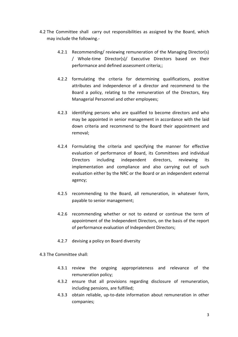- 4.2 The Committee shall carry out responsibilities as assigned by the Board, which may include the following.-
	- 4.2.1 Recommending/ reviewing remuneration of the Managing Director(s) / Whole-time Director(s)/ Executive Directors based on their performance and defined assessment criteria;;
	- 4.2.2 formulating the criteria for determining qualifications, positive attributes and independence of a director and recommend to the Board a policy, relating to the remuneration of the Directors, Key Managerial Personnel and other employees;
	- 4.2.3 identifying persons who are qualified to become directors and who may be appointed in senior management in accordance with the laid down criteria and recommend to the Board their appointment and removal;
	- 4.2.4 Formulating the criteria and specifying the manner for effective evaluation of performance of Board, its Committees and individual Directors including independent directors, reviewing its implementation and compliance and also carrying out of such evaluation either by the NRC or the Board or an independent external agency;
	- 4.2.5 recommending to the Board, all remuneration, in whatever form, payable to senior management;
	- 4.2.6 recommending whether or not to extend or continue the term of appointment of the Independent Directors, on the basis of the report of performance evaluation of Independent Directors;
	- 4.2.7 devising a policy on Board diversity

4.3 The Committee shall:

- 4.3.1 review the ongoing appropriateness and relevance of the remuneration policy;
- 4.3.2 ensure that all provisions regarding disclosure of remuneration, including pensions, are fulfilled;
- 4.3.3 obtain reliable, up-to-date information about remuneration in other companies;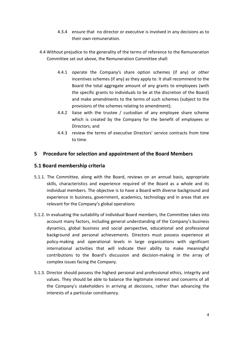- 4.3.4 ensure that no director or executive is involved in any decisions as to their own remuneration.
- 4.4 Without prejudice to the generality of the terms of reference to the Remuneration Committee set out above, the Remuneration Committee shall:
	- 4.4.1 operate the Company's share option schemes (if any) or other incentives schemes (if any) as they apply to. It shall recommend to the Board the total aggregate amount of any grants to employees (with the specific grants to individuals to be at the discretion of the Board) and make amendments to the terms of such schemes (subject to the provisions of the schemes relating to amendment);
	- 4.4.2 liaise with the trustee / custodian of any employee share scheme which is created by the Company for the benefit of employees or Directors; and
	- 4.4.3 review the terms of executive Directors' service contracts from time to time.

#### **5 Procedure for selection and appointment of the Board Members**

#### **5.1 Board membership criteria**

- 5.1.1. The Committee, along with the Board, reviews on an annual basis, appropriate skills, characteristics and experience required of the Board as a whole and its individual members. The objective is to have a Board with diverse background and experience in business, government, academics, technology and in areas that are relevant for the Company's global operations
- 5.1.2. In evaluating the suitability of individual Board members, the Committee takes into account many factors, including general understanding of the Company's business dynamics, global business and social perspective, educational and professional background and personal achievements. Directors must possess experience at policy-making and operational levels in large organizations with significant international activities that will indicate their ability to make meaningful contributions to the Board's discussion and decision-making in the array of complex issues facing the Company.
- 5.1.3. Director should possess the highest personal and professional ethics, integrity and values. They should be able to balance the legitimate interest and concerns of all the Company's stakeholders in arriving at decisions, rather than advancing the interests of a particular constituency.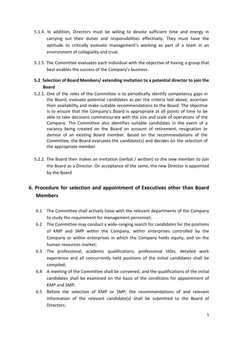- 5.1.4. In addition, Directors must be willing to devote sufficient time and energy in carrying out their duties and responsibilities effectively. They must have the aptitude to critically evaluate management's working as part of a team in an environment of collegiality and trust.
- 5.1.5. The Committee evaluates each individual with the objective of having a group that best enables the success of the Company's business.

#### **5.2 Selection of Board Members/ extending invitation to a potential director to join the Board**

- 5.2.1. One of the roles of the Committee is to periodically identify competency gaps in the Board, evaluate potential candidates as per the criteria laid above, ascertain their availability and make suitable recommendations to the Board. The objective is to ensure that the Company's Board is appropriate at all points of time to be able to take decisions commensurate with the size and scale of operations of the Company. The Committee also identifies suitable candidates in the event of a vacancy being created on the Board on account of retirement, resignation or demise of an existing Board member. Based on the recommendations of the Committee, the Board evaluates the candidate(s) and decides on the selection of the appropriate member.
- 5.2.2. The Board then makes an invitation (verbal / written) to the new member to join the Board as a Director. On acceptance of the same, the new Director is appointed by the Board

#### **6. Procedure for selection and appointment of Executives other than Board Members**

- 6.1 The Committee shall actively liaise with the relevant departments of the Company to study the requirement for management personnel;
- 6.2 The Committee may conduct a wide-ranging search for candidates for the positions of KMP and SMP within the Company, within enterprises controlled by the Company or within enterprises in which the Company holds equity, and on the human resources market;
- 6.3 The professional, academic qualifications, professional titles, detailed work experience and all concurrently held positions of the initial candidates shall be compiled;
- 6.4 A meeting of the Committee shall be convened, and the qualifications of the initial candidates shall be examined on the basis of the conditions for appointment of KMP and SMP;
- 6.5 Before the selection of KMP or SMP, the recommendations of and relevant information of the relevant candidate(s) shall be submitted to the Board of Directors;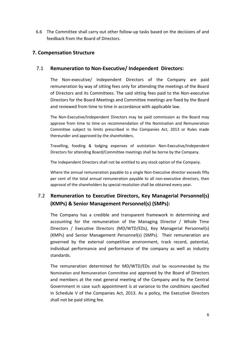6.6 The Committee shall carry out other follow-up tasks based on the decisions of and feedback from the Board of Directors.

#### **7. Compensation Structure**

#### 7.1 **Remuneration to Non-Executive/ Independent Directors:**

The Non-executive/ Independent Directors of the Company are paid remuneration by way of sitting fees only for attending the meetings of the Board of Directors and its Committees. The said sitting fees paid to the Non-executive Directors for the Board Meetings and Committee meetings are fixed by the Board and reviewed from time to time in accordance with applicable law.

The Non-Executive/Independent Directors may be paid commission as the Board may approve from time to time on recommendation of the Nomination and Remuneration Committee subject to limits prescribed in the Companies Act, 2013 or Rules made thereunder and approved by the shareholders.

Travelling, fooding & lodging expenses of outstation Non-Executive/Independent Directors for attending Board/Committee meetings shall be borne by the Company.

The Independent Directors shall not be entitled to any stock option of the Company.

Where the annual remuneration payable to a single Non-Executive director exceeds fifty per cent of the total annual remuneration payable to all non-executive directors, then approval of the shareholders by special resolution shall be obtained every year.

#### 7.2 **Remuneration to Executive Directors, Key Managerial Personnel(s) (KMPs) & Senior Management Personnel(s) (SMPs):**

The Company has a credible and transparent framework in determining and accounting for the remuneration of the Managing Director / Whole Time Directors / Executive Directors (MD/WTD/EDs), Key Managerial Personnel(s) (KMPs) and Senior Management Personnel(s) (SMPs). Their remuneration are governed by the external competitive environment, track record, potential, individual performance and performance of the company as well as industry standards.

The remuneration determined for MD/WTD/EDs shall be recommended by the Nomination and Remuneration Committee and approved by the Board of Directors and members at the next general meeting of the Company and by the Central Government in case such appointment is at variance to the conditions specified in Schedule V of the Companies Act, 2013. As a policy, the Executive Directors shall not be paid sitting fee.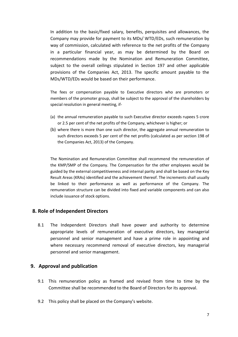In addition to the basic/fixed salary, benefits, perquisites and allowances, the Company may provide for payment to its MDs/ WTD/EDs, such remuneration by way of commission, calculated with reference to the net profits of the Company in a particular financial year, as may be determined by the Board on recommendations made by the Nomination and Remuneration Committee, subject to the overall ceilings stipulated in Section 197 and other applicable provisions of the Companies Act, 2013. The specific amount payable to the MDs/WTD/EDs would be based on their performance.

The fees or compensation payable to Executive directors who are promoters or members of the promoter group, shall be subject to the approval of the shareholders by special resolution in general meeting, if-

- (a) the annual remuneration payable to such Executive director exceeds rupees 5 crore or 2.5 per cent of the net profits of the Company, whichever is higher; or
- (b) where there is more than one such director, the aggregate annual remuneration to such directors exceeds 5 per cent of the net profits (calculated as per section 198 of the Companies Act, 2013) of the Company.

The Nomination and Remuneration Committee shall recommend the remuneration of the KMP/SMP of the Company. The Compensation for the other employees would be guided by the external competitiveness and internal parity and shall be based on the Key Result Areas (KRAs) identified and the achievement thereof. The increments shall usually be linked to their performance as well as performance of the Company. The remuneration structure can be divided into fixed and variable components and can also include issuance of stock options.

#### **8. Role of Independent Directors**

8.1 The Independent Directors shall have power and authority to determine appropriate levels of remuneration of executive directors, key managerial personnel and senior management and have a prime role in appointing and where necessary recommend removal of executive directors, key managerial personnel and senior management.

#### **9. Approval and publication**

- 9.1 This remuneration policy as framed and revised from time to time by the Committee shall be recommended to the Board of Directors for its approval.
- 9.2 This policy shall be placed on the Company's website.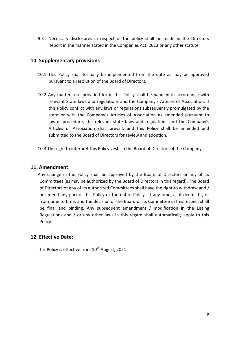9.3 Necessary disclosures in respect of the policy shall be made in the Directors Report in the manner stated in the Companies Act, 2013 or any other statute.

#### **10. Supplementary provisions**

- 10.1 This Policy shall formally be implemented from the date as may be approved pursuant to a resolution of the Board of Directors.
- 10.2 Any matters not provided for in this Policy shall be handled in accordance with relevant State laws and regulations and the Company's Articles of Association. If this Policy conflict with any laws or regulations subsequently promulgated by the state or with the Company's Articles of Association as amended pursuant to lawful procedure, the relevant state laws and regulations and the Company's Articles of Association shall prevail, and this Policy shall be amended and submitted to the Board of Directors for review and adoption.
- 10.3 The right to interpret this Policy vests in the Board of Directors of the Company.

#### **11. Amendment:**

Any change in the Policy shall be approved by the Board of Directors or any of its Committees (as may be authorized by the Board of Directors in this regard). The Board of Directors or any of its authorized Committees shall have the right to withdraw and / or amend any part of this Policy or the entire Policy, at any time, as it deems fit, or from time to time, and the decision of the Board or its Committee in this respect shall be final and binding. Any subsequent amendment / modification in the Listing Regulations and / or any other laws in this regard shall automatically apply to this Policy.

#### **12. Effective Date:**

This Policy is effective from 10<sup>th</sup> August, 2021.